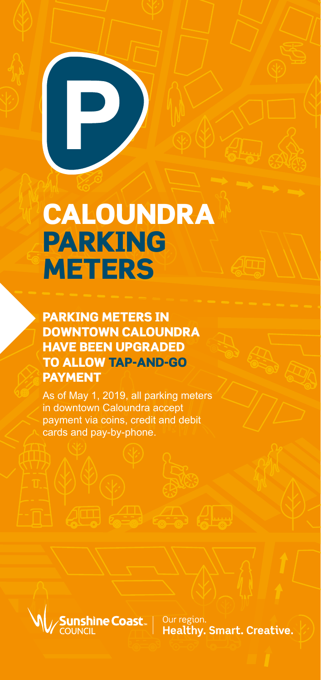# CALOUNDRA PARKING **METERS**

P)

PARKING METERS IN DOWNTOWN CALOUNDRA HAVE BEEN UPGRADED TO ALLOW TAP-AND-GO PAYMENT

As of May 1, 2019, all parking meters in downtown Caloundra accept payment via coins, credit and debit cards and pay-by-phone.



Our region. **Healthy, Smart, Creative.**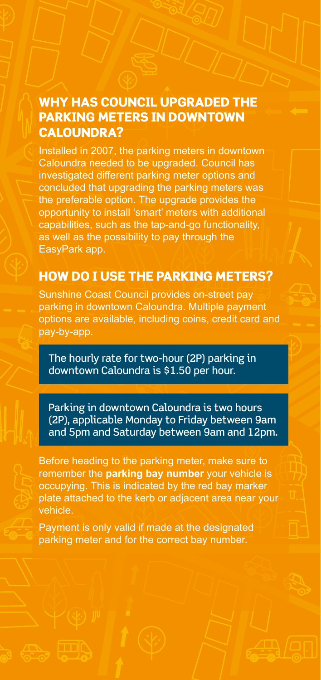#### WHY HAS COUNCIL UPGRADED THE PARKING METERS IN DOWNTOWN CALOUNDRA?

Installed in 2007, the parking meters in downtown Caloundra needed to be upgraded. Council has investigated different parking meter options and concluded that upgrading the parking meters was the preferable option. The upgrade provides the opportunity to install 'smart' meters with additional capabilities, such as the tap-and-go functionality, as well as the possibility to pay through the EasyPark app.

#### HOW DO I USE THE PARKING METERS?

Sunshine Coast Council provides on-street pay parking in downtown Caloundra. Multiple payment options are available, including coins, credit card and pay-by-app.

The hourly rate for two-hour (2P) parking in downtown Caloundra is \$1.50 per hour.

Parking in downtown Caloundra is two hours (2P), applicable Monday to Friday between 9am and 5pm and Saturday between 9am and 12pm.

Before heading to the parking meter, make sure to remember the **parking bay number** your vehicle is occupying. This is indicated by the red bay marker plate attached to the kerb or adjacent area near your vehicle.

Payment is only valid if made at the designated parking meter and for the correct bay number.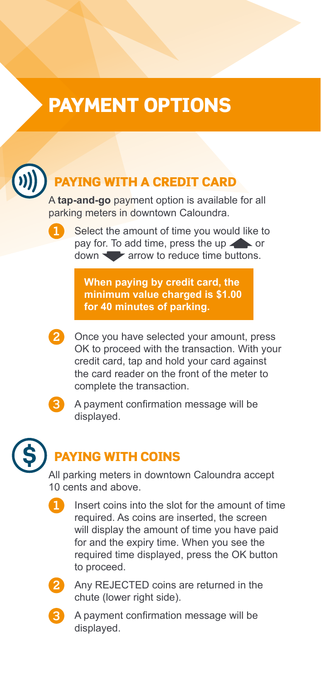## PAYMENT OPTIONS



## ING WITH A CREDIT CARD

A **tap-and-go** payment option is available for all parking meters in downtown Caloundra.



**1** Select the amount of time you would like to pay for. To add time, press the up  $\rightarrow$  or down **a** arrow to reduce time buttons.

**When paying by credit card, the minimum value charged is \$1.00 for 40 minutes of parking.**



**2** Once you have selected your amount, press OK to proceed with the transaction. With your credit card, tap and hold your card against the card reader on the front of the meter to complete the transaction.



**3** A payment confirmation message will be displayed.



## PAYING WITH COINS

All parking meters in downtown Caloundra accept 10 cents and above.

**1** Insert coins into the slot for the amount of time required. As coins are inserted, the screen will display the amount of time you have paid for and the expiry time. When you see the required time displayed, press the OK button to proceed.



**2** Any REJECTED coins are returned in the chute (lower right side).



**3** A payment confirmation message will be displayed.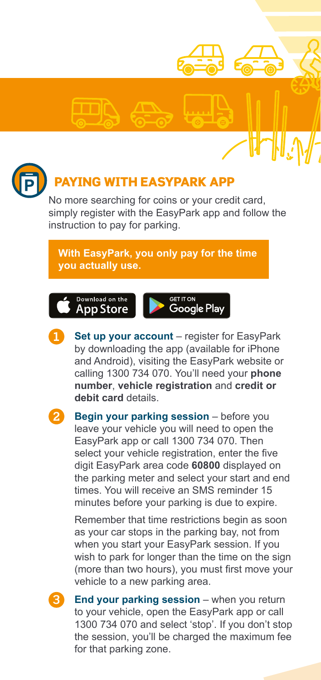



## **NG WITH EASYPARK APP**

No more searching for coins or your credit card, simply register with the EasyPark app and follow the instruction to pay for parking.

#### **With EasyPark, you only pay for the time you actually use.**





**Set up your account** – register for EasyPark by downloading the app (available for iPhone and Android), visiting the EasyPark website or calling 1300 734 070. You'll need your **phone number**, **vehicle registration** and **credit or debit card** details.



**2 Begin your parking session** – before you leave your vehicle you will need to open the EasyPark app or call 1300 734 070. Then select your vehicle registration, enter the five digit EasyPark area code **60800** displayed on the parking meter and select your start and end times. You will receive an SMS reminder 15 minutes before your parking is due to expire.

Remember that time restrictions begin as soon as your car stops in the parking bay, not from when you start your EasyPark session. If you wish to park for longer than the time on the sign (more than two hours), you must first move your vehicle to a new parking area.



**End your parking session** – when you return to your vehicle, open the EasyPark app or call 1300 734 070 and select 'stop'. If you don't stop the session, you'll be charged the maximum fee for that parking zone.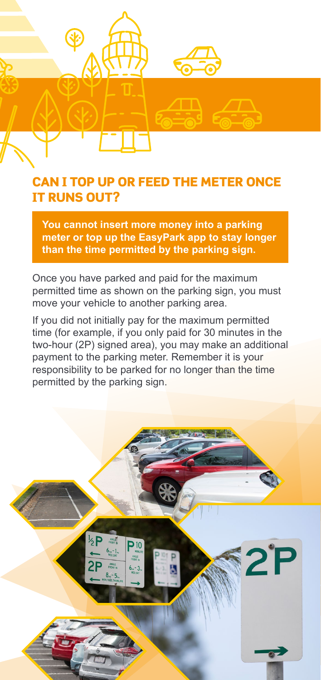

#### CAN I TOP UP OR FEED THE METER ONCE IT RUNS OUT?

**You cannot insert more money into a parking meter or top up the EasyPark app to stay longer than the time permitted by the parking sign.**

Once you have parked and paid for the maximum permitted time as shown on the parking sign, you must move your vehicle to another parking area.

If you did not initially pay for the maximum permitted time (for example, if you only paid for 30 minutes in the two-hour (2P) signed area), you may make an additional payment to the parking meter. Remember it is your responsibility to be parked for no longer than the time permitted by the parking sign.